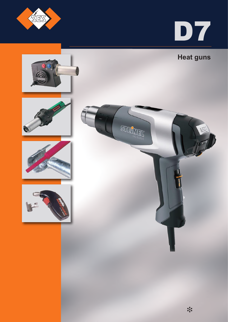



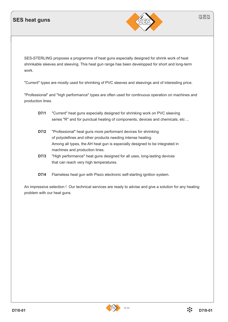#### **SES heat guns**



SES-STERLING proposes a programme of heat guns especially designed for shrink work of heat shrinkable sleeves and sleeving. This heat gun range has been developped for short and long-term work.

"Current" types are mostly used for shrinking of PVC sleeves and sleevings and of interesting price.

"Professional" and "high performance" types are often used for continuous operation on machines and production lines.

- **D7/1** "Current" heat guns especially designed for shrinking work on PVC sleeving series "R" and for punctual heating of components, devices and chemicals, etc ...
- **D7/2** "Professional" heat guns more performant devices for shrinking of polyolefines and other products needing intense heating. Among all types, the AH heat gun is especially designed to be integrated in machines and production lines.
- **D7/3** "High performance" heat guns designed for all uses, long-lasting devices that can reach very high temperatures.
- **D7/4** Flameless heat gun with Piezo electronic self-starting ignition system.

An impressive selection ! Our technical services are ready to advise and give a solution for any heating problem with our heat guns.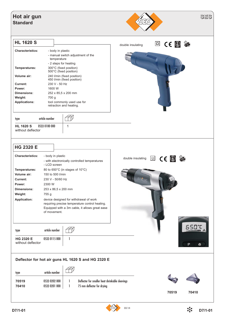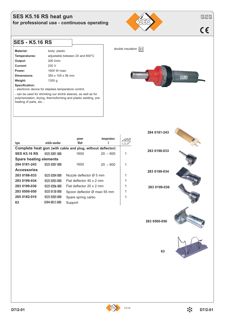#### **SES K5.16 RS heat gun for professional use - continuous operating**

# $C \in$

#### **SES - K5.16 RS**

| Material:                                             | body: plastic                   |  |
|-------------------------------------------------------|---------------------------------|--|
| Temperatures:                                         | adjustable between 20 and 600°C |  |
| Output:                                               | 200 l/min                       |  |
| Current:                                              | 230 V                           |  |
| Power:                                                | 1600 W maxi                     |  |
| Dimensions:                                           | 350 x 105 x 56 mm               |  |
| Weight:                                               | 1300q                           |  |
| Specification:                                        |                                 |  |
| - electronic device for stepless temperature control. |                                 |  |

- can be used for shrinking our shrink sleeves, as well as for polymerization, drying, thermoforming and plastic welding, preheating of parts, etc...



| type                          | article number | power<br>Watt                                              | temperature          |  |
|-------------------------------|----------------|------------------------------------------------------------|----------------------|--|
|                               |                | Complete heat gun (with cable and plug, without deflector) |                      |  |
| <b>SES K5.16 RS</b>           | 0525 0201 000  | 1600                                                       | $20 \rightarrow 600$ |  |
| <b>Spare heating elements</b> |                |                                                            |                      |  |
| 284 0181-243                  | 0525 0207 000  | 1600                                                       | $20 \rightarrow 600$ |  |
| <b>Accessories</b>            |                |                                                            |                      |  |
| 283 0198-033                  | 0525 0204 000  | Nozzle deflector $\varnothing$ 5 mm                        |                      |  |
| 283 0199-034                  | 0525 0205 000  | Flat deflector 40 x 2 mm                                   |                      |  |
| 283 0199-036                  | 0525 0206 000  | Flat deflector 20 x 2 mm                                   |                      |  |
| 283 0500-050                  | 0525 0150 000  | Spoon deflector Ø maxi 55 mm                               |                      |  |
| 285 0182-010                  | 0525 0203 000  | Spare spring carbo                                         |                      |  |
| 63                            | 0594 0015 000  | Support                                                    |                      |  |

**283 0199-036 283 0500-050**

**63**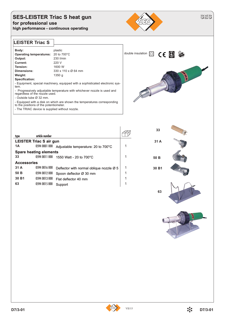## **SES-LEISTER Triac S heat gun for professional use**

**high performance - continuous operating** 



**LEISTER Triac S**

| Body:                          | plastic             |
|--------------------------------|---------------------|
| <b>Operating temperatures:</b> | 20 to 700°C         |
| Output:                        | 230 l/min           |
| Current:                       | 220 V               |
| Tension:                       | 1600 W              |
| Dimensions:                    | 330 x 110 x Ø 64 mm |
| Weight:                        | 1350 g              |
| Specification:                 |                     |

- Equipment, special machinery, equipped with a sophisticated electronic system.

- Progressively adjustable temperature with whichever nozzle is used and regardless of the nozzle used.
- Outside tube Ø 32 mm.
- Equipped with a disk on which are shown the temperatures corresponding
- to the positions of the potentiometer.





**SES**

| type                           | artide number |                                                      |  |
|--------------------------------|---------------|------------------------------------------------------|--|
| <b>LEISTER Triac S air gun</b> |               |                                                      |  |
| 1A                             | 0594 0001 000 | Adjustable temperature: 20 to 700°C                  |  |
| <b>Spare heating elements</b>  |               |                                                      |  |
| 33                             | 0594 0011 000 | 1550 Watt - 20 to 700°C                              |  |
| <b>Accessories</b>             |               |                                                      |  |
| 31 A                           | 0594 0016 000 | Deflector with normal oblique nozzle $\varnothing$ 5 |  |
| 50 B                           | 0594 0012 000 | Spoon deflector Ø 30 mm                              |  |
| 30 B1                          | 0594 0013 000 | Flat deflector 40 mm                                 |  |
| 63                             | 0594 0015 000 | Support                                              |  |



**63**



VII/15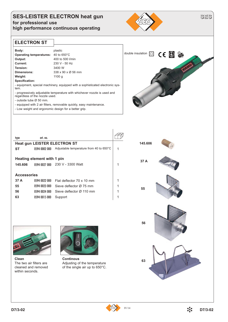#### **SES-LEISTER ELECTRON heat gun for professional use high performance continuous operating**



**ELECTRON ST**

| Body:                               | plastic                        |
|-------------------------------------|--------------------------------|
| Operating temperatures: 40 to 650°C |                                |
| Output:                             | 400 to 500 l/min               |
| Current:                            | 230 V - 50 Hz                  |
| Tension:                            | 3400 W                         |
| Dimensions:                         | 338 x 90 x $\varnothing$ 56 mm |
| Weight:                             | 1100 g                         |
| Specification:                      |                                |

- equipment, special machinery, equipped with a sophisticated electronic system.

- progressively adjustable temperature with whichever nozzle is used and regardless of the nozzle used.
- outside tube Ø 50 mm.
- equipped with 2 air filters, removable quickly, easy maintenance.
- Low weight and ergonomic design for a better grip.



| type                                | art. no.      |                                         |  |
|-------------------------------------|---------------|-----------------------------------------|--|
| <b>Heat gun LEISTER ELECTRON ST</b> |               |                                         |  |
| <b>ST</b>                           | 0594 0002 000 | Adjustable temperature from 40 to 650°C |  |
|                                     |               |                                         |  |
| Heating element with 1 pin          |               |                                         |  |
| 145.606                             |               | 0594 0027 000 230 V - 3300 Watt         |  |
|                                     |               |                                         |  |
| <b>Accessories</b>                  |               |                                         |  |
| 37 A                                | 0594 0022 000 | Flat deflector 70 x 10 mm               |  |
| 55                                  | 0594 0023 000 | Sieve deflector Ø 75 mm                 |  |
| 56                                  | 0594 0024 000 | Sieve deflector Ø 110 mm                |  |
| 63                                  | 0594 0015 000 | Support                                 |  |





**Clean** The two air filters are cleaned and removed within seconds.



**Continous** Adjusting of the temperature of the single air up to 650°C.

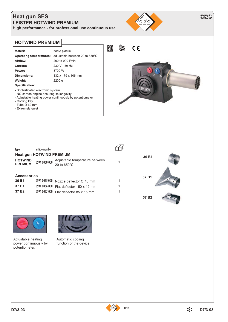### **Heat gun SES LEISTER HOTWIND PREMIUM**

**High performance - for professional use continuous use**



**SES**

#### **HOTWIND PREMIUM**  $\left(\begin{matrix} 1 \\ 5 \end{matrix}\right)$  $\epsilon$ ÊS Material: body: plastic **Operating temperatures:** adjustable between 20 to 650°C **Airflow:** 200 to 900 l/min **Current:** 230 V - 50 Hz **Power:** 3700 W **Dimensions:** 332 x 179 x 106 mm **Weight:** 2200 g **Specification:** - Sophisticated electronic system - NO carbon engine ensuring its longevity - Adjustable heating power continuously by potentiometer - Cooling key - Tube Ø 62 mm - Extremely quiet

| type                                                      | article number                                  |                                                                                     |  |
|-----------------------------------------------------------|-------------------------------------------------|-------------------------------------------------------------------------------------|--|
|                                                           | <b>Heat gun HOTWIND PREMIUM</b>                 |                                                                                     |  |
| <b>HOTWIND</b><br><b>PREMIUM</b>                          | 0594 0050 000                                   | Adjustable temperature between<br>20 to $650^{\circ}$ C                             |  |
| <b>Accessories</b><br>36 B1<br>37 B1<br>37 B <sub>2</sub> | 0594 0055 000<br>0594 0056 000<br>0594 0057 000 | Nozzle deflector Ø 40 mm<br>Flat deflector 150 x 12 mm<br>Flat deflector 85 x 15 mm |  |





Adjustable heating power continuously by potentiometer.



Automatic cooling function of the device.

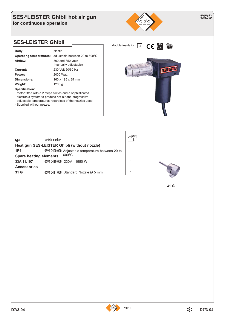#### **SES-®LEISTER Ghibli hot air gun for continuous operation**



| Body:                                                    | plastic                        |  |
|----------------------------------------------------------|--------------------------------|--|
| <b>Operating temperatures:</b>                           | adjustable between 20 to 600°C |  |
| Airflow:                                                 | 300 and 350 l/min              |  |
|                                                          | (manually adjustable)          |  |
| Current:                                                 | 230 Volt 50/60 Hz              |  |
| Power:                                                   | 2000 Watt                      |  |
| Dimensions:                                              | 160 x 195 x 85 mm              |  |
| Weight:                                                  | 1200q                          |  |
| Specification:                                           |                                |  |
| - motor fitted with a 2 steps switch and a sophisticated |                                |  |

- motor fitted with a 2 steps switch and a sophisticated electronic system to produce hot air and progressive adjustable temperatures regardless of the nozzles used. - Supplied without nozzle.



| type                                             | artide number |                                                    |  |
|--------------------------------------------------|---------------|----------------------------------------------------|--|
| Heat gun SES-LEISTER Ghibli (without nozzle)     |               |                                                    |  |
| 1P4                                              |               | 0594 0400 000 Adjustable temperature between 20 to |  |
| $600^{\circ}$ C<br><b>Spare heating elements</b> |               |                                                    |  |
| 33A.11.107                                       |               | 0594 0410 000 230V - 1950 W                        |  |
| <b>Accessories</b>                               |               |                                                    |  |
| 31 <sub>G</sub>                                  |               | 0594 0411 000 Standard Nozzle $\varnothing$ 5 mm   |  |
|                                                  |               |                                                    |  |



**31 G**